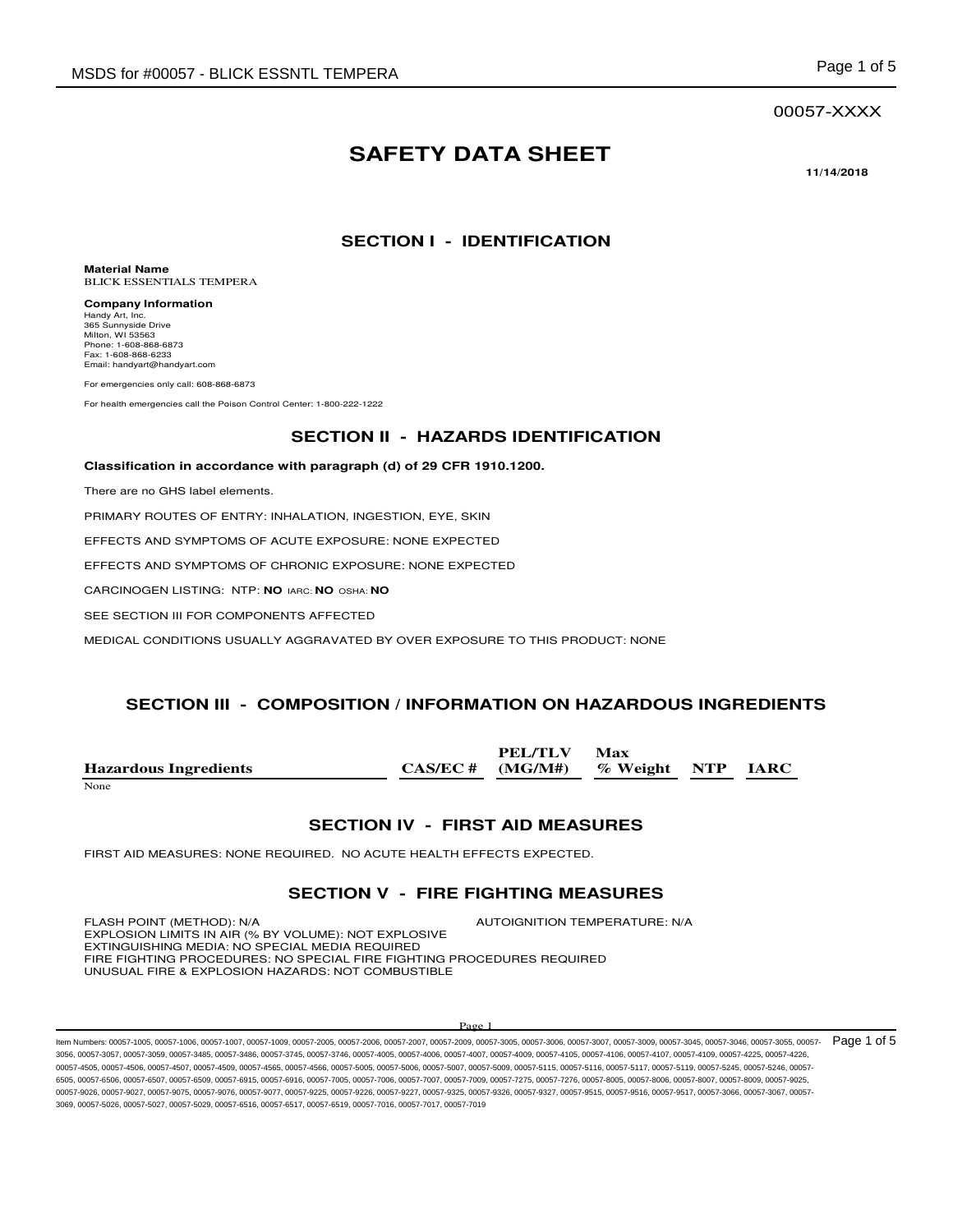#### 00057-XXXX

# **SAFETY DATA SHEET**

**11/14/2018** 

# **SECTION I - IDENTIFICATION**

**Material Name** BLICK ESSENTIALS TEMPERA

**Company Information** Handy Art, Inc. 365 Sunnyside Drive Milton, WI 53563 Phone: 1-608-868-6873 Fax: 1-608-868-6233 Email: handyart@handyart.com

For emergencies only call: 608-868-6873

For health emergencies call the Poison Control Center: 1-800-222-1222

### **SECTION II - HAZARDS IDENTIFICATION**

#### **Classification in accordance with paragraph (d) of 29 CFR 1910.1200.**

There are no GHS label elements.

PRIMARY ROUTES OF ENTRY: INHALATION, INGESTION, EYE, SKIN

EFFECTS AND SYMPTOMS OF ACUTE EXPOSURE: NONE EXPECTED

EFFECTS AND SYMPTOMS OF CHRONIC EXPOSURE: NONE EXPECTED

CARCINOGEN LISTING: NTP: **NO** IARC: **NO** OSHA: **NO**

SEE SECTION III FOR COMPONENTS AFFECTED

MEDICAL CONDITIONS USUALLY AGGRAVATED BY OVER EXPOSURE TO THIS PRODUCT: NONE

#### **SECTION III - COMPOSITION / INFORMATION ON HAZARDOUS INGREDIENTS**

|                              | PEL/TLV                               | <b>Max</b> |  |
|------------------------------|---------------------------------------|------------|--|
| <b>Hazardous Ingredients</b> | $CAS/EC \#$ (MG/M#) % Weight NTP IARC |            |  |
| <b>None</b>                  |                                       |            |  |

#### **SECTION IV - FIRST AID MEASURES**

FIRST AID MEASURES: NONE REQUIRED. NO ACUTE HEALTH EFFECTS EXPECTED.

#### **SECTION V - FIRE FIGHTING MEASURES**

FLASH POINT (METHOD): N/A  $\blacksquare$  AUTOIGNITION TEMPERATURE: N/A EXPLOSION LIMITS IN AIR (% BY VOLUME): NOT EXPLOSIVE EXTINGUISHING MEDIA: NO SPECIAL MEDIA REQUIRED FIRE FIGHTING PROCEDURES: NO SPECIAL FIRE FIGHTING PROCEDURES REQUIRED UNUSUAL FIRE & EXPLOSION HAZARDS: NOT COMBUSTIBLE

#### $P<sub>2</sub>$

ltem Numbers: 00057-1005, 00057-1006, 00057-1007, 00057-1009, 00057-2006, 00057-2006, 00057-2007, 00057-3005, 00057-3006, 00057-3006, 00057-3009, 00057-3009, 00057-3004, 00057-3046, 00057-3046, 00057-3045, 00057-3046, 0005 3056, 00057-3057, 00057-3059, 00057-3485, 00057-3486, 00057-3745, 00057-3746, 00057-4005, 00057-4006, 00057-4007, 00057-4009, 00057-4105, 00057-4106, 00057-4107, 00057-4109, 00057-4225, 00057-4226, 00057-4505, 00057-4506, 00057-4507, 00057-4509, 00057-4565, 00057-4566, 00057-5005, 00057-5006, 00057-5007, 00057-5009, 00057-5115, 00057-5116, 00057-5117, 00057-5119, 00057-5245, 00057-5246, 00057- 6505, 00057-6506, 00057-6507, 00057-6509, 00057-6915, 00057-6916, 00057-7005, 00057-7008, 00057-7007, 00057-7009, 00057-7275, 00057-7276, 00057-8005, 00057-8006, 00057-8009, 00057-8009, 00057-8009, 00057-8009, 00057-8009, 0 00057-9026, 00057-9027, 00057-9075, 00057-9076, 00057-9077, 00057-9225, 00057-9226, 00057-9227, 00057-9325, 00057-9326, 00057-9327, 00057-9515, 00057-9516, 00057-9517, 00057-3066, 00057-3067, 00057- 3069, 00057-5026, 00057-5027, 00057-5029, 00057-6516, 00057-6517, 00057-6519, 00057-7016, 00057-7017, 00057-7019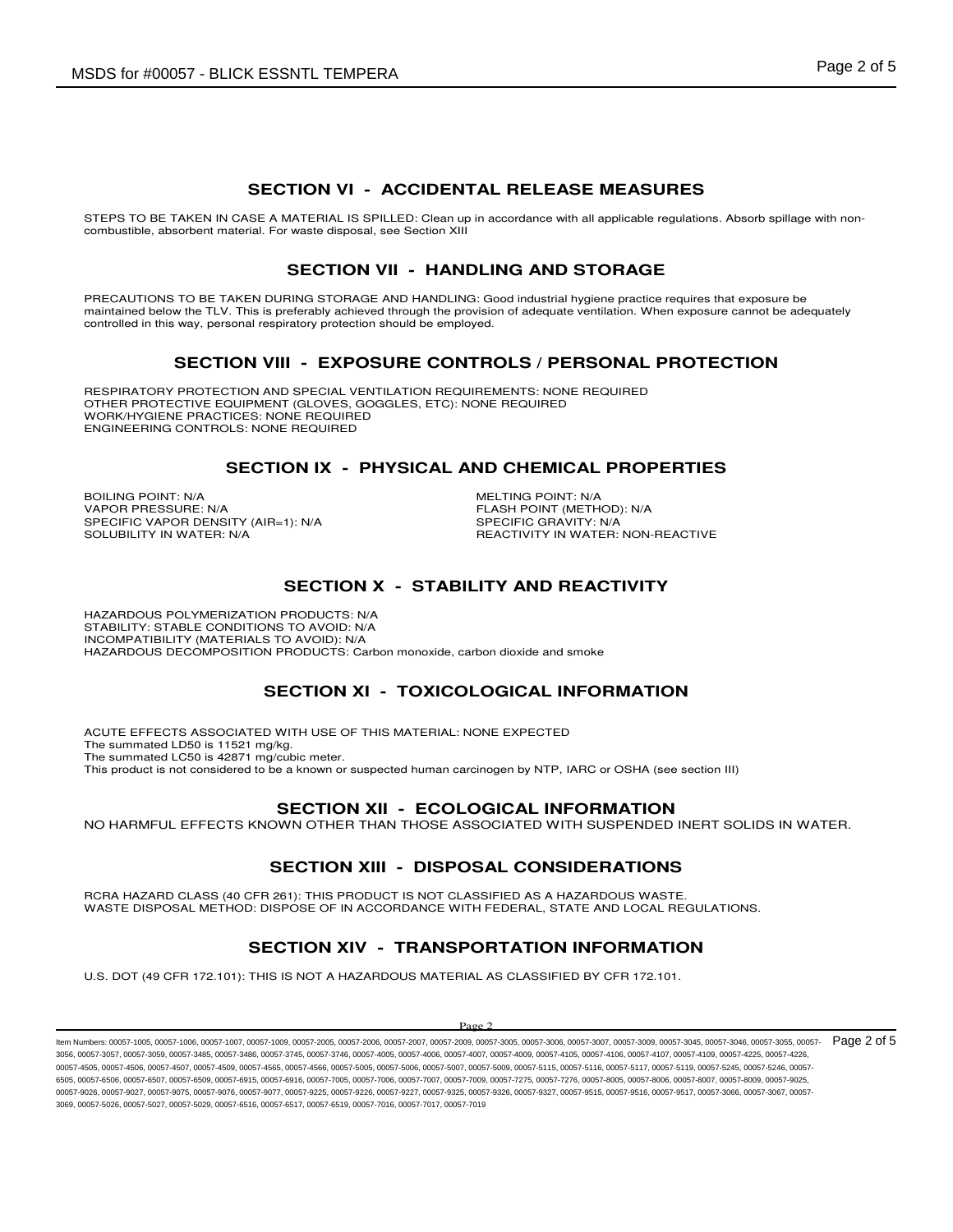# **SECTION VI - ACCIDENTAL RELEASE MEASURES**

STEPS TO BE TAKEN IN CASE A MATERIAL IS SPILLED: Clean up in accordance with all applicable regulations. Absorb spillage with noncombustible, absorbent material. For waste disposal, see Section XIII

# **SECTION VII - HANDLING AND STORAGE**

PRECAUTIONS TO BE TAKEN DURING STORAGE AND HANDLING: Good industrial hygiene practice requires that exposure be maintained below the TLV. This is preferably achieved through the provision of adequate ventilation. When exposure cannot be adequately controlled in this way, personal respiratory protection should be employed.

### **SECTION VIII - EXPOSURE CONTROLS / PERSONAL PROTECTION**

RESPIRATORY PROTECTION AND SPECIAL VENTILATION REQUIREMENTS: NONE REQUIRED OTHER PROTECTIVE EQUIPMENT (GLOVES, GOGGLES, ETC): NONE REQUIRED WORK/HYGIENE PRACTICES: NONE REQUIRED ENGINEERING CONTROLS: NONE REQUIRED

### **SECTION IX - PHYSICAL AND CHEMICAL PROPERTIES**

BOILING POINT: N/A<br>
VAPOR PRESSURE: N/A<br>
VAPOR PRESSURE: N/A SPECIFIC VAPOR DENSITY (AIR=1): N/A<br>SOLUBILITY IN WATER: N/A

FLASH POINT (METHOD): N/A<br>SPECIFIC GRAVITY: N/A REACTIVITY IN WATER: NON-REACTIVE

# **SECTION X - STABILITY AND REACTIVITY**

HAZARDOUS POLYMERIZATION PRODUCTS: N/A STABILITY: STABLE CONDITIONS TO AVOID: N/A INCOMPATIBILITY (MATERIALS TO AVOID): N/A HAZARDOUS DECOMPOSITION PRODUCTS: Carbon monoxide, carbon dioxide and smoke

# **SECTION XI - TOXICOLOGICAL INFORMATION**

ACUTE EFFECTS ASSOCIATED WITH USE OF THIS MATERIAL: NONE EXPECTED The summated LD50 is 11521 mg/kg. The summated LC50 is 42871 mg/cubic meter. This product is not considered to be a known or suspected human carcinogen by NTP, IARC or OSHA (see section III)

# **SECTION XII - ECOLOGICAL INFORMATION**

NO HARMFUL EFFECTS KNOWN OTHER THAN THOSE ASSOCIATED WITH SUSPENDED INERT SOLIDS IN WATER.

# **SECTION XIII - DISPOSAL CONSIDERATIONS**

RCRA HAZARD CLASS (40 CFR 261): THIS PRODUCT IS NOT CLASSIFIED AS A HAZARDOUS WASTE. WASTE DISPOSAL METHOD: DISPOSE OF IN ACCORDANCE WITH FEDERAL, STATE AND LOCAL REGULATIONS.

# **SECTION XIV - TRANSPORTATION INFORMATION**

U.S. DOT (49 CFR 172.101): THIS IS NOT A HAZARDOUS MATERIAL AS CLASSIFIED BY CFR 172.101.

#### $P<sub>200</sub>$

ltem Numbers: 00057-1005, 00057-1006, 00057-1007, 00057-1009, 00057-2006, 00057-2006, 00057-2007, 00057-3005, 00057-3006, 00057-3006, 00057-3009, 00057-3009, 00057-3004, 00057-3046, 00057-3046, 00057-3046, 00057-3046, 0005 3056, 00057-3057, 00057-3059, 00057-3485, 00057-3486, 00057-3745, 00057-3746, 00057-4005, 00057-4006, 00057-4007, 00057-4009, 00057-4105, 00057-4106, 00057-4107, 00057-4109, 00057-4225, 00057-4226, 00057-4505, 00057-4506, 00057-4507, 00057-4509, 00057-4565, 00057-4566, 00057-5005, 00057-5006, 00057-5007, 00057-5009, 00057-5115, 00057-5116, 00057-5117, 00057-5119, 00057-5245, 00057-5246, 00057- 6505, 00057-6506, 00057-6507, 00057-6509, 00057-6915, 00057-6916, 00057-7005, 00057-7008, 00057-7007, 00057-7009, 00057-7275, 00057-7276, 00057-8005, 00057-8006, 00057-8009, 00057-8009, 00057-8009, 00057-8009, 00057-8009, 0 00057-9026, 00057-9027, 00057-9075, 00057-9076, 00057-9077, 00057-9225, 00057-9226, 00057-9227, 00057-9325, 00057-9326, 00057-9327, 00057-9315, 00057-9515, 00057-9516, 00057-9517, 00057-3066, 00057-3066, 00057-3067, 00057-9 3069, 00057-5026, 00057-5027, 00057-5029, 00057-6516, 00057-6517, 00057-6519, 00057-7016, 00057-7017, 00057-7019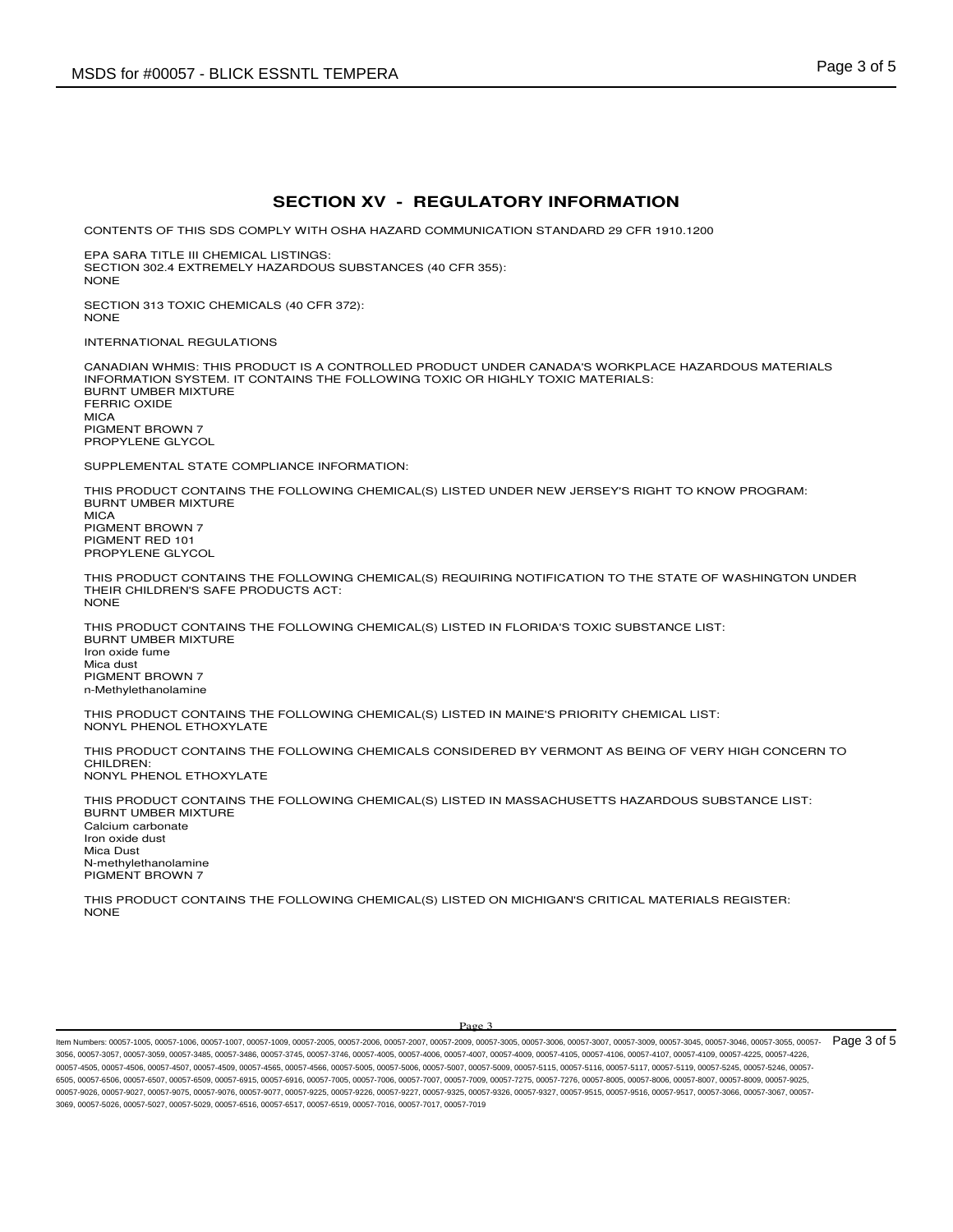### **SECTION XV - REGULATORY INFORMATION**

CONTENTS OF THIS SDS COMPLY WITH OSHA HAZARD COMMUNICATION STANDARD 29 CFR 1910.1200

EPA SARA TITLE III CHEMICAL LISTINGS: SECTION 302.4 EXTREMELY HAZARDOUS SUBSTANCES (40 CFR 355): **NONE** 

SECTION 313 TOXIC CHEMICALS (40 CFR 372): NONE

INTERNATIONAL REGULATIONS

CANADIAN WHMIS: THIS PRODUCT IS A CONTROLLED PRODUCT UNDER CANADA'S WORKPLACE HAZARDOUS MATERIALS INFORMATION SYSTEM. IT CONTAINS THE FOLLOWING TOXIC OR HIGHLY TOXIC MATERIALS: BURNT UMBER MIXTURE FERRIC OXIDE **MICA** PIGMENT BROWN 7 PROPYLENE GLYCOL

SUPPLEMENTAL STATE COMPLIANCE INFORMATION:

THIS PRODUCT CONTAINS THE FOLLOWING CHEMICAL(S) LISTED UNDER NEW JERSEY'S RIGHT TO KNOW PROGRAM: BURNT UMBER MIXTURE MICA PIGMENT BROWN 7 PIGMENT RED 101

PROPYLENE GLYCOL

THIS PRODUCT CONTAINS THE FOLLOWING CHEMICAL(S) REQUIRING NOTIFICATION TO THE STATE OF WASHINGTON UNDER THEIR CHILDREN'S SAFE PRODUCTS ACT: NONE

THIS PRODUCT CONTAINS THE FOLLOWING CHEMICAL(S) LISTED IN FLORIDA'S TOXIC SUBSTANCE LIST: BURNT UMBER MIXTURE Iron oxide fume Mica dust PIGMENT BROWN 7 n-Methylethanolamine

THIS PRODUCT CONTAINS THE FOLLOWING CHEMICAL(S) LISTED IN MAINE'S PRIORITY CHEMICAL LIST: NONYL PHENOL ETHOXYLATE

THIS PRODUCT CONTAINS THE FOLLOWING CHEMICALS CONSIDERED BY VERMONT AS BEING OF VERY HIGH CONCERN TO CHILDREN: NONYL PHENOL ETHOXYLATE

THIS PRODUCT CONTAINS THE FOLLOWING CHEMICAL(S) LISTED IN MASSACHUSETTS HAZARDOUS SUBSTANCE LIST: BURNT UMBER MIXTURE Calcium carbonate Iron oxide dust Mica Dust N-methylethanolamine PIGMENT BROWN 7

THIS PRODUCT CONTAINS THE FOLLOWING CHEMICAL(S) LISTED ON MICHIGAN'S CRITICAL MATERIALS REGISTER: NONE

ltem Numbers: 00057-1005, 00057-1006, 00057-1007, 00057-1009, 00057-2006, 00057-2006, 00057-2007, 00057-3005, 00057-3006, 00057-3006, 00057-3009, 00057-3009, 00057-3005, 00057-3005, 00057-3046, 00057-3046, 00057-3055, 0005 3056, 00057-3057, 00057-3059, 00057-3485, 00057-3486, 00057-3745, 00057-3746, 00057-4005, 00057-4006, 00057-4007, 00057-4009, 00057-4105, 00057-4106, 00057-4107, 00057-4109, 00057-4225, 00057-4226, 00057-4505, 00057-4506, 00057-4507, 00057-4509, 00057-4565, 00057-4566, 00057-5005, 00057-5006, 00057-5007, 00057-5009, 00057-5115, 00057-5116, 00057-5117, 00057-5119, 00057-5245, 00057-5246, 00057- 6505, 00057-6506, 00057-6507, 00057-6509, 00057-6915, 00057-6916, 00057-7005, 00057-7008, 00057-7007, 00057-7009, 00057-7275, 00057-7276, 00057-8005, 00057-8006, 00057-8009, 00057-8009, 00057-8009, 00057-8009, 00057-8009, 0 00057-9026, 00057-9027, 00057-9075, 00057-9076, 00057-9077, 00057-9225, 00057-9226, 00057-9227, 00057-9325, 00057-9326, 00057-9327, 00057-9315, 00057-9515, 00057-9516, 00057-9517, 00057-3066, 00057-3066, 00057-3067, 00057-9 3069, 00057-5026, 00057-5027, 00057-5029, 00057-6516, 00057-6517, 00057-6519, 00057-7016, 00057-7017, 00057-7019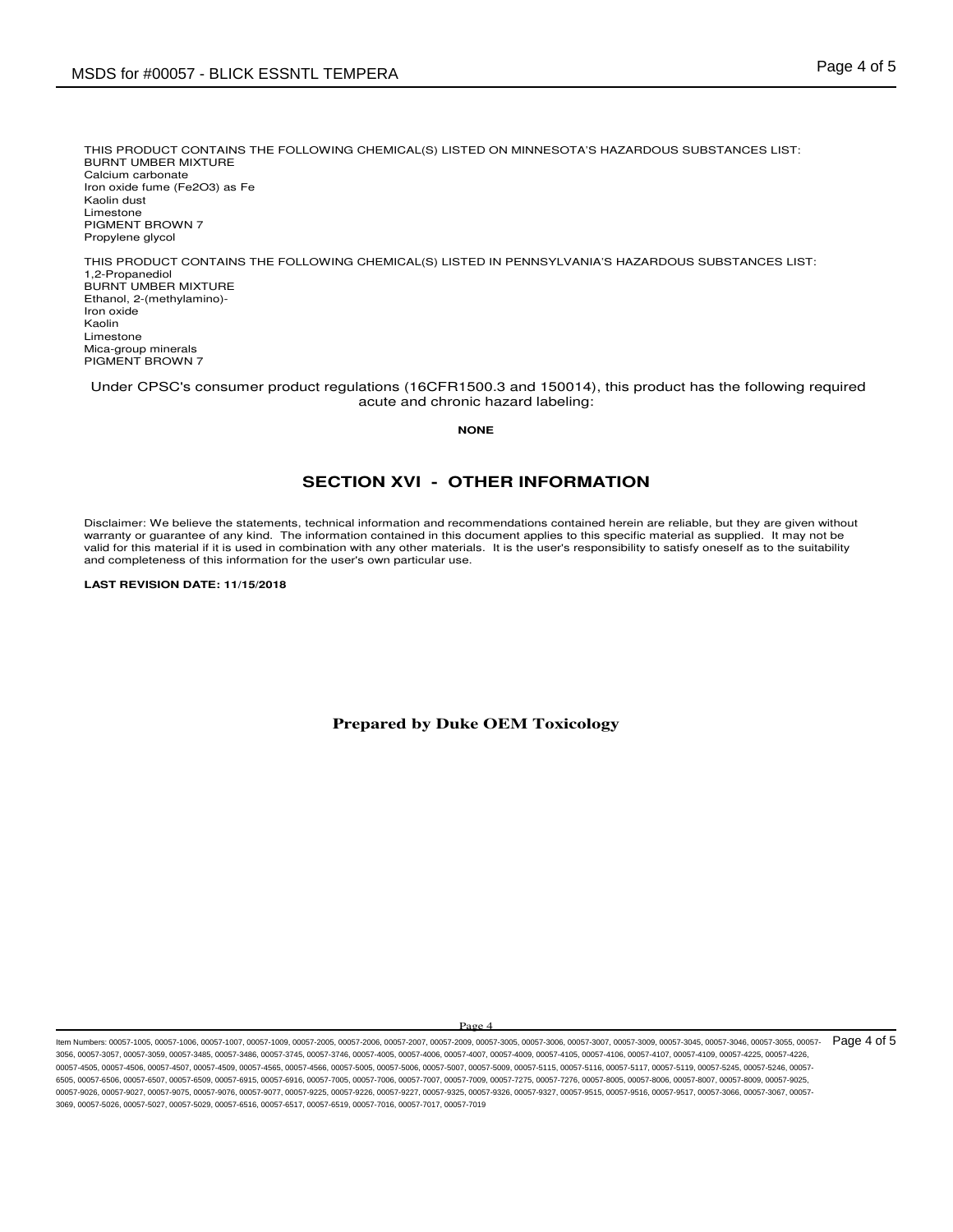THIS PRODUCT CONTAINS THE FOLLOWING CHEMICAL(S) LISTED ON MINNESOTA'S HAZARDOUS SUBSTANCES LIST: BURNT UMBER MIXTURE Calcium carbonate Iron oxide fume (Fe2O3) as Fe Kaolin dust Limestone PIGMENT BROWN 7 Propylene glycol

THIS PRODUCT CONTAINS THE FOLLOWING CHEMICAL(S) LISTED IN PENNSYLVANIA'S HAZARDOUS SUBSTANCES LIST: 1,2-Propanediol BURNT UMBER MIXTURE Ethanol, 2-(methylamino)- Iron oxide Kaolin Limestone Mica-group minerals PIGMENT BROWN 7

 Under CPSC's consumer product regulations (16CFR1500.3 and 150014), this product has the following required acute and chronic hazard labeling:

**NONE**

# **SECTION XVI - OTHER INFORMATION**

Disclaimer: We believe the statements, technical information and recommendations contained herein are reliable, but they are given without warranty or guarantee of any kind. The information contained in this document applies to this specific material as supplied. It may not be valid for this material if it is used in combination with any other materials. It is the user's responsibility to satisfy oneself as to the suitability and completeness of this information for the user's own particular use.

**LAST REVISION DATE: 11/15/2018**

**Prepared by Duke OEM Toxicology** 

Page

ltem Numbers: 00057-1005, 00057-1006, 00057-1007, 00057-1009, 00057-2006, 00057-2006, 00057-2007, 00057-3005, 00057-3006, 00057-3006, 00057-3009, 00057-3009, 00057-3005, 00057-3005, 00057-3046, 00057-3046, 00057-3055, 0005 3056, 00057-3057, 00057-3059, 00057-3485, 00057-3486, 00057-3745, 00057-3746, 00057-4005, 00057-4006, 00057-4007, 00057-4009, 00057-4105, 00057-4106, 00057-4107, 00057-4109, 00057-4225, 00057-4226, 0067-4505, 00057-4506, 00057-4507, 00057-4509, 00057-4566, 00057-4566, 00057-5005, 00057-5006, 00057-5007, 00057-5009, 00057-5016, 00057-5116, 00057-5117, 00057-5119, 00057-5119, 00057-5119, 00057-5119, 00057-5245, 00057-52 6505, 00057-6506, 00057-6507, 00057-6509, 00057-6915, 00057-6916, 00057-7005, 00057-7008, 00057-7007, 00057-7009, 00057-7275, 00057-7276, 00057-8005, 00057-8006, 00057-8009, 00057-8009, 00057-8009, 00057-8009, 00057-8009, 0 00057-9026, 00057-9027, 00057-9075, 00057-9076, 00057-9077, 00057-9225, 00057-9226, 00057-9227, 00057-9325, 00057-9326, 00057-9327, 00057-9515, 00057-9516, 00057-9517, 00057-3066, 00057-3067, 00057- 3069, 00057-5026, 00057-5027, 00057-5029, 00057-6516, 00057-6517, 00057-6519, 00057-7016, 00057-7017, 00057-7019